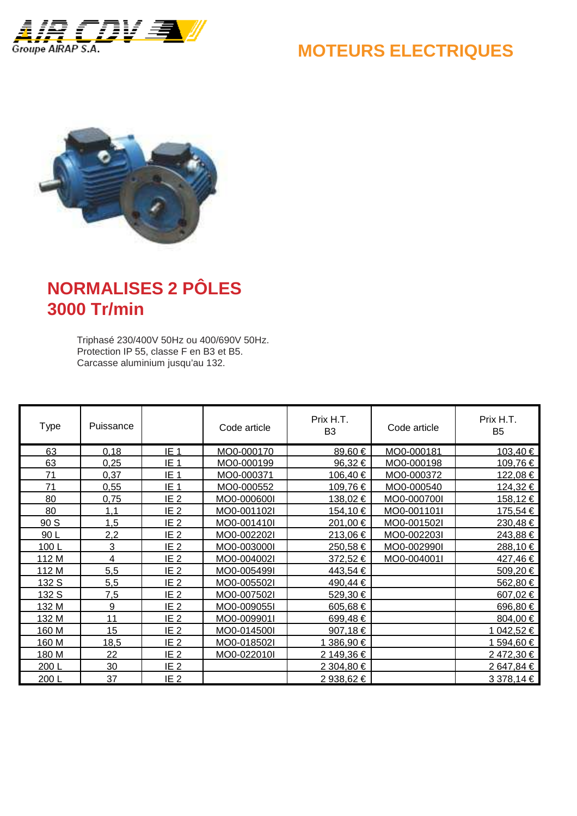

#### **MOTEURS ELECTRIQUES**



# **NORMALISES 2 PÔLES 3000 Tr/min**

Triphasé 230/400V 50Hz ou 400/690V 50Hz. Protection IP 55, classe F en B3 et B5. Carcasse aluminium jusqu'au 132.

| Type  | Puissance      |                 | Code article | Prix H.T.<br>B <sub>3</sub> | Code article | Prix H.T.<br>B <sub>5</sub> |
|-------|----------------|-----------------|--------------|-----------------------------|--------------|-----------------------------|
| 63    | 0,18           | IE <sub>1</sub> | MO0-000170   | 89,60 €                     | MO0-000181   | 103,40 €                    |
| 63    | 0,25           | IE <sub>1</sub> | MO0-000199   | 96,32€                      | MO0-000198   | 109,76 €                    |
| 71    | 0,37           | IE <sub>1</sub> | MO0-000371   | 106,40€                     | MO0-000372   | 122,08 €                    |
| 71    | 0,55           | IE <sub>1</sub> | MO0-000552   | 109,76€                     | MO0-000540   | 124,32 €                    |
| 80    | 0,75           | IE <sub>2</sub> | MO0-000600I  | 138,02€                     | MO0-000700I  | 158,12 €                    |
| 80    | 1,1            | IE <sub>2</sub> | MO0-001102I  | 154,10 €                    | MO0-001101I  | 175,54 €                    |
| 90 S  | 1,5            | IE <sub>2</sub> | MO0-001410I  | 201,00 €                    | MO0-001502l  | 230,48€                     |
| 90L   | 2,2            | IE <sub>2</sub> | MO0-002202I  | 213,06€                     | MO0-002203I  | 243,88 €                    |
| 100L  | 3              | IE <sub>2</sub> | MO0-003000I  | 250,58€                     | MO0-002990I  | 288,10 €                    |
| 112 M | $\overline{4}$ | IE <sub>2</sub> | MO0-004002l  | 372,52€                     | MO0-004001I  | 427,46€                     |
| 112 M | 5,5            | IE <sub>2</sub> | MO0-005499I  | 443,54 €                    |              | 509,20 €                    |
| 132 S | 5,5            | IE <sub>2</sub> | MO0-005502l  | 490,44 €                    |              | 562,80 €                    |
| 132 S | 7,5            | IE <sub>2</sub> | MO0-007502l  | 529,30 €                    |              | 607,02 $\in$                |
| 132 M | 9              | IE <sub>2</sub> | MO0-009055I  | 605,68€                     |              | 696,80 €                    |
| 132 M | 11             | IE <sub>2</sub> | MO0-009901I  | 699,48€                     |              | 804,00 €                    |
| 160 M | 15             | IE <sub>2</sub> | MO0-014500I  | 907,18€                     |              | 1 042,52 €                  |
| 160 M | 18,5           | IE <sub>2</sub> | MO0-018502l  | 1 386,90 €                  |              | 1 594,60 €                  |
| 180 M | 22             | IE <sub>2</sub> | MO0-022010I  | 2 149,36 €                  |              | 2472,30€                    |
| 200L  | 30             | IE <sub>2</sub> |              | 2 304,80 €                  |              | 2 647,84 €                  |
| 200L  | 37             | IE <sub>2</sub> |              | 2 938,62 €                  |              | 3 378,14 €                  |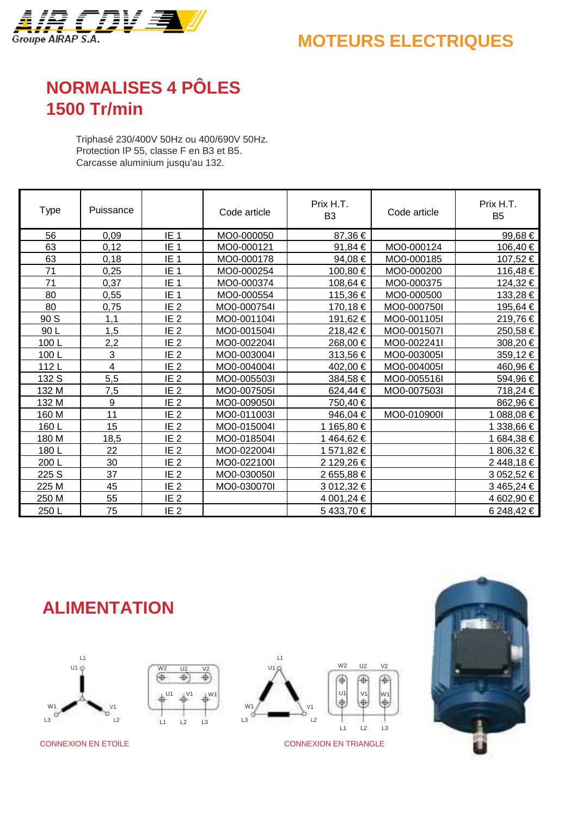

### **MOTEURS ELECTRIQUES**

## **NORMALISES 4 PÔLES 1500 Tr/min**

Triphasé 230/400V 50Hz ou 400/690V 50Hz. Protection IP 55, classe F en B3 et B5. Carcasse aluminium jusqu'au 132.

| Type  | Puissance |                 | Code article | Prix H.T.<br>B <sub>3</sub> | Code article | Prix H.T.<br>B <sub>5</sub> |
|-------|-----------|-----------------|--------------|-----------------------------|--------------|-----------------------------|
| 56    | 0.09      | IE <sub>1</sub> | MO0-000050   | 87,36€                      |              | 99,68 €                     |
| 63    | 0,12      | IE <sub>1</sub> | MO0-000121   | 91,84 €                     | MO0-000124   | $106,40 \in$                |
| 63    | 0,18      | IE <sub>1</sub> | MO0-000178   | 94,08€                      | MO0-000185   | 107,52 €                    |
| 71    | 0,25      | IE <sub>1</sub> | MO0-000254   | 100,80 €                    | MO0-000200   | 116,48 €                    |
| 71    | 0,37      | IE <sub>1</sub> | MO0-000374   | 108,64 €                    | MO0-000375   | 124,32 €                    |
| 80    | 0,55      | IE <sub>1</sub> | MO0-000554   | 115,36 €                    | MO0-000500   | 133,28 €                    |
| 80    | 0,75      | IE <sub>2</sub> | MO0-000754I  | 170,18€                     | MO0-000750I  | 195,64 €                    |
| 90 S  | 1.1       | IE <sub>2</sub> | MO0-001104I  | 191,62 €                    | MO0-001105I  | 219,76 €                    |
| 90L   | 1,5       | IE <sub>2</sub> | MO0-001504I  | 218,42€                     | MO0-001507l  | 250,58 €                    |
| 100L  | 2,2       | IE <sub>2</sub> | MO0-002204I  | 268,00 €                    | MO0-002241I  | 308,20 €                    |
| 100L  | 3         | IE <sub>2</sub> | MO0-003004I  | 313,56€                     | MO0-003005I  | $359,12 \in$                |
| 112L  | 4         | IE <sub>2</sub> | MO0-004004I  | 402,00 €                    | MO0-004005I  | 460,96 €                    |
| 132 S | 5,5       | IE <sub>2</sub> | MO0-005503I  | 384,58€                     | MO0-005516I  | 594,96 €                    |
| 132 M | 7,5       | IE <sub>2</sub> | MO0-007505I  | 624,44 €                    | MO0-007503I  | 718,24 €                    |
| 132 M | 9         | IE <sub>2</sub> | MO0-009050I  | 750,40 €                    |              | 862,96 €                    |
| 160 M | 11        | IE <sub>2</sub> | MO0-011003I  | 946,04 €                    | MO0-010900I  | $088,08 \in$                |
| 160L  | 15        | IE <sub>2</sub> | MO0-015004I  | 1 165,80 €                  |              | 338,66 €                    |
| 180 M | 18,5      | IE <sub>2</sub> | MO0-018504I  | 1464,62€                    |              | 1 684,38 €                  |
| 180L  | 22        | IE <sub>2</sub> | MO0-022004I  | 1 571,82 €                  |              | 1 806,32 €                  |
| 200L  | 30        | IE <sub>2</sub> | MO0-022100I  | 2 129,26 €                  |              | 2448,18€                    |
| 225 S | 37        | IE <sub>2</sub> | MO0-030050I  | 2 655,88 €                  |              | 3 052,52 €                  |
| 225 M | 45        | IE <sub>2</sub> | MO0-030070I  | 3 012,32 €                  |              | 3 465,24 €                  |
| 250 M | 55        | IE <sub>2</sub> |              | 4 001,24 €                  |              | 4 602,90 €                  |
| 250L  | 75        | IE <sub>2</sub> |              | 5433,70€                    |              | 6 248,42 €                  |

**ALIMENTATION**

W2 U2 V2

€

侢

L1 L2 L3

U1 V1 W1

 $\overline{\Phi}$ 





CONNEXION EN ETOILE CONNEXION EN TRIANGLE